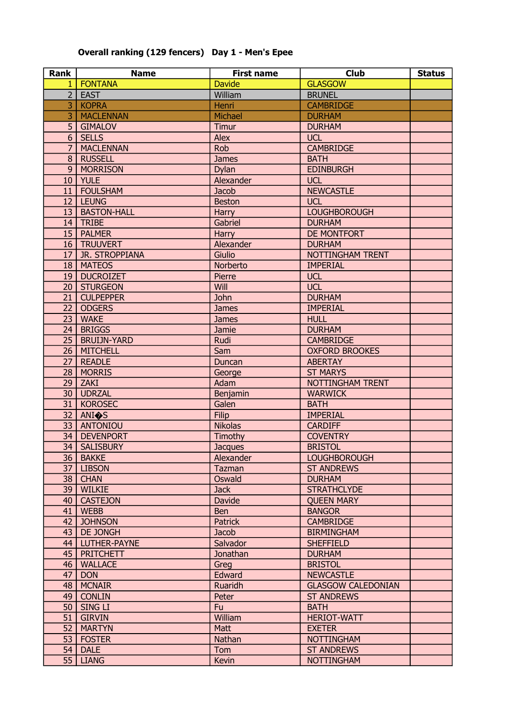#### Rank | Name | First name | Club | Status 1 | FONTANA Davide Davide | GLASGOW 2 EAST William William BRUNEL WELL SEE SEE SEE SEE SEE SEE SEE SEE SE 3 | KOPRA Henri Henri Henri Henri Henri Henri CAMBRIDGE 3 | MACLENNAN | Michael | DURHAM 5 | GIMALOV | Timur | DURHAM 6 SELLS Alex UCL 7 | MACLENNAN Rob GAMBRIDGE 8 RUSSELL James BATH 9 | MORRISON Dylan | EDINBURGH 10 | YULE | Alexander | UCL 11 | FOULSHAM | Jacob | NEWCASTLE 12 LEUNG Beston Beston UCL 13 | BASTON-HALL | Harry | LOUGHBOROUGH 14 TRIBE Gabriel DURHAM 15 PALMER Harry BE MONTFORT 16 TRUUVERT Alexander Alexander DURHAM 17 | JR. STROPPIANA | Giulio | NOTTINGHAM TRENT 18 | MATEOS | Norberto | IMPERIAL 19 DUCROIZET Pierre DUCL 20 STURGEON Will Will UCL 21 | CULPEPPER John DURHAM 22 | ODGERS | James | James | IMPERIAL 23 | WAKE | James | James | HULL 24 | BRIGGS | Jamie | DURHAM 25 | BRUIJN-YARD | Rudi | CAMBRIDGE 26 | MITCHELL **| Sam | OXFORD BROOKES** 27 | READLE | Duncan | ABERTAY 28 | MORRIS | George | ST MARYS 29 ZAKI Adam NOTTINGHAM TRENT 30 UDRZAL Benjamin VARWICK 31 | KOROSEC | Galen | Galen | BATH 32 ANI�S Filip IMPERIAL 33 | ANTONIOU | Nikolas | CARDIFF 34 DEVENPORT THE Timothy COVENTRY 34 | SALISBURY | Jacques | BRISTOL 36 | BAKKE | Alexander | Alexander | LOUGHBOROUGH 37 | LIBSON | Tazman | ST ANDREWS 38 CHAN CHAN Oswald Oswald DURHAM 39 WILKIE Jack STRATHCLYDE 40 | CASTEJON | Davide | QUEEN MARY 41 WEBB Ben BANGOR 42 JOHNSON Ratrick Reserves Reserves Reserves Reserves Reserves Reserves Reserves Reserves Reserves Reserves R 43 DE JONGH **BIRMINGHAM** 44 | LUTHER-PAYNE | Salvador | SHEFFIELD 45 PRITCHETT Jonathan DURHAM 46 | WALLACE | Greg | Greg | BRISTOL 47 DON **Edward Edward NEWCASTLE** 48 | MCNAIR Ruaridh GLASGOW CALEDONIAN 49 CONLIN Peter | ST ANDREWS 50 SING LI **Fu Fu BATH** 51 GIRVIN William William RERIOT-WATT 52 | MARTYN **NATTYN** | Matt **NATTYN** | EXETER 53 | FOSTER | Nathan | NOTTINGHAM 54 DALE Tom Tom ST ANDREWS 55 LIANG REGISTER REGISTER NATURAL REGISTER AND LIANG

#### Overall ranking (129 fencers) Day 1 - Men's Epee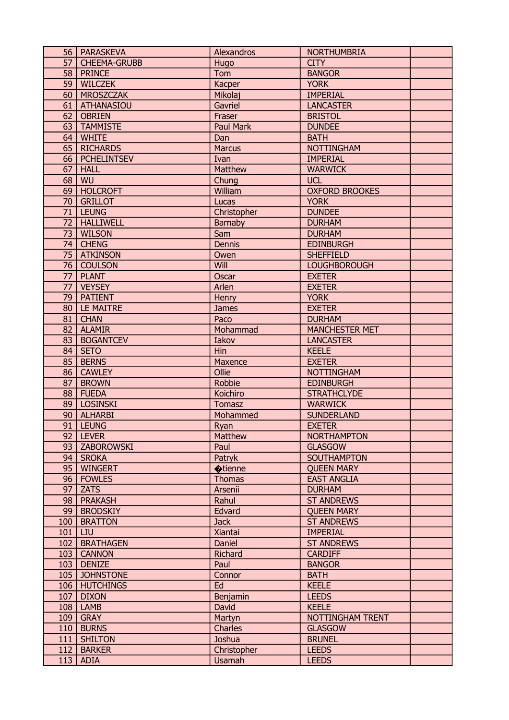|                 | 56   PARASKEVA      | Alexandros       | <b>NORTHUMBRIA</b>    |  |
|-----------------|---------------------|------------------|-----------------------|--|
| 57              | <b>CHEEMA-GRUBB</b> | Hugo             | <b>CITY</b>           |  |
|                 | 58   PRINCE         | Tom              | <b>BANGOR</b>         |  |
| 59              | <b>WILCZEK</b>      | <b>Kacper</b>    | <b>YORK</b>           |  |
| 60 <sup>1</sup> | <b>MROSZCZAK</b>    | Mikolaj          | <b>IMPERIAL</b>       |  |
| 61              | <b>ATHANASIOU</b>   | Gavriel          | <b>LANCASTER</b>      |  |
| 62              | <b>OBRIEN</b>       | Fraser           | <b>BRISTOL</b>        |  |
| 63              | <b>TAMMISTE</b>     | <b>Paul Mark</b> | <b>DUNDEE</b>         |  |
| 64              | <b>WHITE</b>        | Dan              | <b>BATH</b>           |  |
| 65              | <b>RICHARDS</b>     | <b>Marcus</b>    | <b>NOTTINGHAM</b>     |  |
| 66              | <b>PCHELINTSEV</b>  | Ivan             | <b>IMPERIAL</b>       |  |
| 67              | <b>HALL</b>         | Matthew          | <b>WARWICK</b>        |  |
| 68              | WU                  | Chung            | <b>UCL</b>            |  |
| 69              | <b>HOLCROFT</b>     | William          | <b>OXFORD BROOKES</b> |  |
|                 |                     |                  |                       |  |
| 70              | <b>GRILLOT</b>      | Lucas            | <b>YORK</b>           |  |
| 71              | <b>LEUNG</b>        | Christopher      | <b>DUNDEE</b>         |  |
| 72              | <b>HALLIWELL</b>    | Barnaby          | <b>DURHAM</b>         |  |
| 73              | <b>WILSON</b>       | Sam              | <b>DURHAM</b>         |  |
| 74              | <b>CHENG</b>        | <b>Dennis</b>    | <b>EDINBURGH</b>      |  |
| 75              | <b>ATKINSON</b>     | Owen             | <b>SHEFFIELD</b>      |  |
| 76              | <b>COULSON</b>      | Will             | <b>LOUGHBOROUGH</b>   |  |
| 77              | <b>PLANT</b>        | Oscar            | <b>EXETER</b>         |  |
| 77              | <b>VEYSEY</b>       | Arlen            | <b>EXETER</b>         |  |
| 79              | <b>PATIENT</b>      | <b>Henry</b>     | <b>YORK</b>           |  |
| 80              | LE MAITRE           | <b>James</b>     | <b>EXETER</b>         |  |
| 81              | <b>CHAN</b>         | Paco             | <b>DURHAM</b>         |  |
| 82              | <b>ALAMIR</b>       | Mohammad         | <b>MANCHESTER MET</b> |  |
| 83              | <b>BOGANTCEV</b>    | Iakov            | <b>LANCASTER</b>      |  |
| 84              | <b>SETO</b>         | Hin              | <b>KEELE</b>          |  |
| 85              | <b>BERNS</b>        | Maxence          | <b>EXETER</b>         |  |
| 86              | <b>CAWLEY</b>       | Ollie            | <b>NOTTINGHAM</b>     |  |
| 87              | <b>BROWN</b>        | Robbie           | <b>EDINBURGH</b>      |  |
| 88              | <b>FUEDA</b>        | Koichiro         | <b>STRATHCLYDE</b>    |  |
| 89              | <b>LOSINSKI</b>     | Tomasz           | <b>WARWICK</b>        |  |
| 90              | <b>ALHARBI</b>      | Mohammed         | <b>SUNDERLAND</b>     |  |
| 91              | <b>LEUNG</b>        | Ryan             | <b>EXETER</b>         |  |
| 92              | <b>LEVER</b>        | Matthew          | <b>NORTHAMPTON</b>    |  |
| 93              | ZABOROWSKI          | Paul             | <b>GLASGOW</b>        |  |
|                 | 94   SROKA          | Patryk           | <b>SOUTHAMPTON</b>    |  |
| 95              | <b>WINGERT</b>      | <b></b> tienne   | <b>QUEEN MARY</b>     |  |
| 96              | <b>FOWLES</b>       | <b>Thomas</b>    | <b>EAST ANGLIA</b>    |  |
| 97              | <b>ZATS</b>         | Arsenii          | <b>DURHAM</b>         |  |
| 98              | <b>PRAKASH</b>      | Rahul            | <b>ST ANDREWS</b>     |  |
| 99              | <b>BRODSKIY</b>     | Edvard           | <b>QUEEN MARY</b>     |  |
| 100             | <b>BRATTON</b>      | <b>Jack</b>      | <b>ST ANDREWS</b>     |  |
| 101             | LIU                 | <b>Xiantai</b>   | <b>IMPERIAL</b>       |  |
| 102             | <b>BRATHAGEN</b>    | Daniel           | <b>ST ANDREWS</b>     |  |
| 103             | <b>CANNON</b>       | Richard          | <b>CARDIFF</b>        |  |
| 103             | <b>DENIZE</b>       | Paul             | <b>BANGOR</b>         |  |
| 105             | <b>JOHNSTONE</b>    | Connor           | <b>BATH</b>           |  |
| 106             | <b>HUTCHINGS</b>    | Ed               | <b>KEELE</b>          |  |
| 107             | <b>DIXON</b>        | Benjamin         | <b>LEEDS</b>          |  |
| 108             | LAMB                | David            | <b>KEELE</b>          |  |
| 109             | <b>GRAY</b>         | Martyn           | NOTTINGHAM TRENT      |  |
| 110             | <b>BURNS</b>        | Charles          | <b>GLASGOW</b>        |  |
| 111             | <b>SHILTON</b>      | Joshua           | <b>BRUNEL</b>         |  |
| 112             | <b>BARKER</b>       | Christopher      | <b>LEEDS</b>          |  |
| 113             | <b>ADIA</b>         | <b>Usamah</b>    | <b>LEEDS</b>          |  |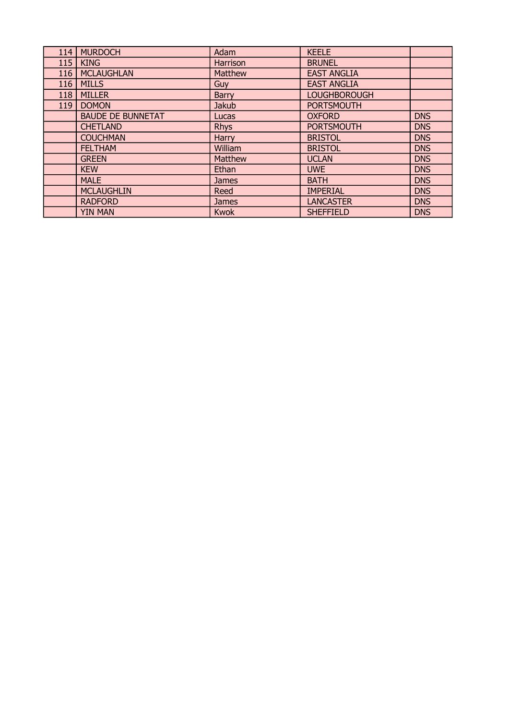| 114 | <b>MURDOCH</b>           | Adam         | <b>KEELE</b>        |            |
|-----|--------------------------|--------------|---------------------|------------|
| 115 | <b>KING</b>              | Harrison     | <b>BRUNEL</b>       |            |
| 116 | <b>MCLAUGHLAN</b>        | Matthew      | <b>EAST ANGLIA</b>  |            |
| 116 | <b>MILLS</b>             | Guy          | <b>EAST ANGLIA</b>  |            |
| 118 | <b>MILLER</b>            | <b>Barry</b> | <b>LOUGHBOROUGH</b> |            |
| 119 | <b>DOMON</b>             | <b>Jakub</b> | <b>PORTSMOUTH</b>   |            |
|     | <b>BAUDE DE BUNNETAT</b> | Lucas        | <b>OXFORD</b>       | <b>DNS</b> |
|     | <b>CHETLAND</b>          | <b>Rhys</b>  | <b>PORTSMOUTH</b>   | <b>DNS</b> |
|     | <b>COUCHMAN</b>          | Harry        | <b>BRISTOL</b>      | <b>DNS</b> |
|     | <b>FELTHAM</b>           | William      | <b>BRISTOL</b>      | <b>DNS</b> |
|     | <b>GREEN</b>             | Matthew      | <b>UCLAN</b>        | <b>DNS</b> |
|     | <b>KEW</b>               | Ethan        | <b>UWE</b>          | <b>DNS</b> |
|     | <b>MALE</b>              | <b>James</b> | <b>BATH</b>         | <b>DNS</b> |
|     | <b>MCLAUGHLIN</b>        | Reed         | <b>IMPERIAL</b>     | <b>DNS</b> |
|     | <b>RADFORD</b>           | <b>James</b> | <b>LANCASTER</b>    | <b>DNS</b> |
|     | <b>YIN MAN</b>           | <b>Kwok</b>  | <b>SHEFFIELD</b>    | <b>DNS</b> |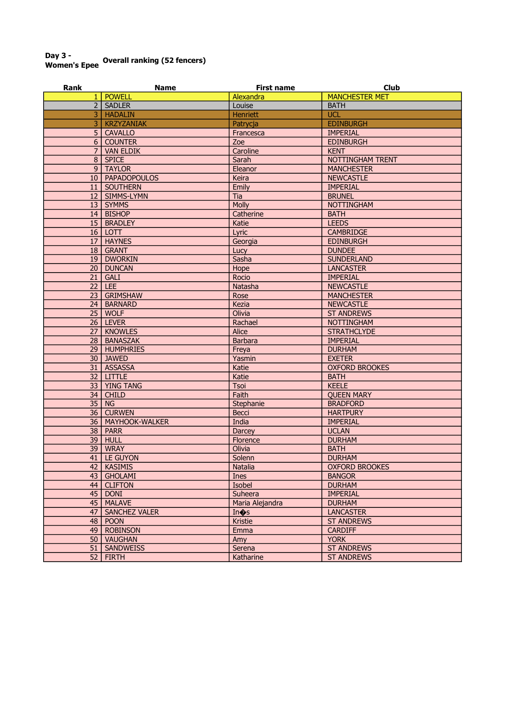# Day 3 -<br>Women's Epee Overall ranking (52 fencers)

| Rank           | <b>Name</b>          | <b>First name</b> | <b>Club</b>           |
|----------------|----------------------|-------------------|-----------------------|
| $\mathbf{1}$   | <b>POWELL</b>        | Alexandra         | <b>MANCHESTER MET</b> |
| 2 <sup>1</sup> | <b>SADLER</b>        | Louise            | <b>BATH</b>           |
| 3              | <b>HADALIN</b>       | Henriett          | <b>UCL</b>            |
| 3              | <b>KRZYZANIAK</b>    | Patrycja          | <b>EDINBURGH</b>      |
| 5 <sup>1</sup> | <b>CAVALLO</b>       | Francesca         | <b>IMPERIAL</b>       |
| 6 <sup>1</sup> | <b>COUNTER</b>       | Zoe               | <b>EDINBURGH</b>      |
| 7 <sup>1</sup> | <b>VAN ELDIK</b>     | Caroline          | <b>KENT</b>           |
|                | 8 SPICE              | Sarah             | NOTTINGHAM TRENT      |
|                | 9   TAYLOR           | Eleanor           | <b>MANCHESTER</b>     |
|                | 10   PAPADOPOULOS    | Keira             | <b>NEWCASTLE</b>      |
|                | 11   SOUTHERN        | Emily             | <b>IMPERIAL</b>       |
|                | 12   SIMMS-LYMN      | Tia               | <b>BRUNEL</b>         |
|                | 13 SYMMS             |                   |                       |
|                |                      | <b>Molly</b>      | <b>NOTTINGHAM</b>     |
|                | 14 BISHOP            | Catherine         | <b>BATH</b>           |
|                | 15   BRADLEY         | Katie             | <b>LEEDS</b>          |
|                | $16$ LOTT            | Lyric             | <b>CAMBRIDGE</b>      |
|                | 17   HAYNES          | Georgia           | <b>EDINBURGH</b>      |
| 18             | <b>GRANT</b>         | Lucy              | <b>DUNDEE</b>         |
|                | 19 DWORKIN           | Sasha             | <b>SUNDERLAND</b>     |
|                | 20 DUNCAN            | Hope              | <b>LANCASTER</b>      |
| 21             | <b>GALI</b>          | Rocio             | <b>IMPERIAL</b>       |
|                | $22$ LEE             | Natasha           | <b>NEWCASTLE</b>      |
| 23             | <b>GRIMSHAW</b>      | Rose              | <b>MANCHESTER</b>     |
| 24             | <b>BARNARD</b>       | Kezia             | <b>NEWCASTLE</b>      |
| 25             | <b>WOLF</b>          | Olivia            | <b>ST ANDREWS</b>     |
|                | 26 LEVER             | Rachael           | <b>NOTTINGHAM</b>     |
|                | 27   KNOWLES         | Alice             | <b>STRATHCLYDE</b>    |
|                | 28   BANASZAK        | <b>Barbara</b>    | <b>IMPERIAL</b>       |
|                | 29   HUMPHRIES       | Freya             | <b>DURHAM</b>         |
|                | 30 JAWED             | Yasmin            | <b>EXETER</b>         |
|                | 31   ASSASSA         | Katie             | <b>OXFORD BROOKES</b> |
|                | $32$ LITTLE          | Katie             | <b>BATH</b>           |
|                | 33   YING TANG       | Tsoi              | <b>KEELE</b>          |
|                |                      | Faith             |                       |
| 34             | <b>CHILD</b>         |                   | <b>QUEEN MARY</b>     |
| 35             | <b>NG</b>            | Stephanie         | <b>BRADFORD</b>       |
| 36             | <b>CURWEN</b>        | Becci             | <b>HARTPURY</b>       |
| 36             | MAYHOOK-WALKER       | India             | <b>IMPERIAL</b>       |
| 38             | <b>PARR</b>          | Darcey            | <b>UCLAN</b>          |
| 39             | <b>HULL</b>          | Florence          | <b>DURHAM</b>         |
| 39             | <b>WRAY</b>          | Olivia            | <b>BATH</b>           |
|                | 41 LE GUYON          | Solenn            | <b>DURHAM</b>         |
|                | 42 KASIMIS           | Natalia           | <b>OXFORD BROOKES</b> |
| 43             | <b>GHOLAMI</b>       | <b>Ines</b>       | <b>BANGOR</b>         |
|                | 44   CLIFTON         | Isobel            | <b>DURHAM</b>         |
|                | $45$ DONI            | Suheera           | <b>IMPERIAL</b>       |
| 45             | <b>MALAVE</b>        | Maria Alejandra   | <b>DURHAM</b>         |
| 47             | <b>SANCHEZ VALER</b> | In <sup>os</sup>  | <b>LANCASTER</b>      |
| 48             | <b>POON</b>          | Kristie           | <b>ST ANDREWS</b>     |
| 49             | <b>ROBINSON</b>      | Emma              | <b>CARDIFF</b>        |
|                | 50   VAUGHAN         | Amy               | <b>YORK</b>           |
| 51             | <b>SANDWEISS</b>     | Serena            | <b>ST ANDREWS</b>     |
|                | $52$   FIRTH         | Katharine         | <b>ST ANDREWS</b>     |
|                |                      |                   |                       |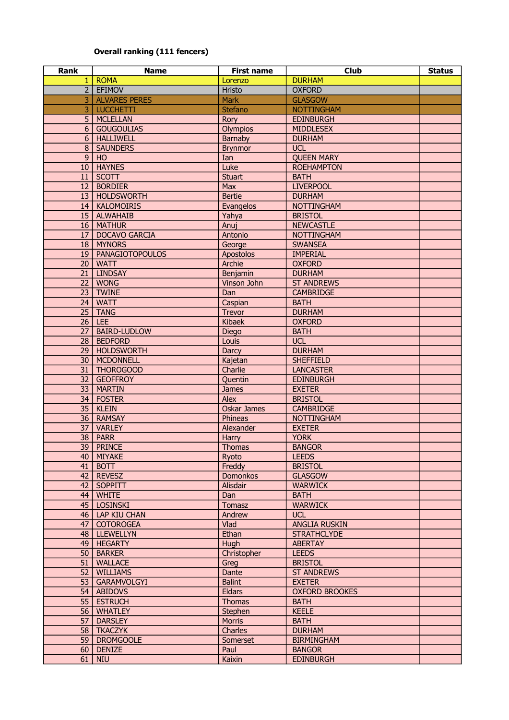## Overall ranking (111 fencers)

| Rank             | <b>Name</b>          | <b>First name</b>  | <b>Club</b>           | <b>Status</b> |
|------------------|----------------------|--------------------|-----------------------|---------------|
| 1 I              | <b>ROMA</b>          | Lorenzo            | <b>DURHAM</b>         |               |
|                  | 2 EFIMOV             | Hristo             | <b>OXFORD</b>         |               |
| $\overline{3}$   | <b>ALVARES PERES</b> | <b>Mark</b>        | <b>GLASGOW</b>        |               |
| 3                | <b>LUCCHETTI</b>     | <b>Stefano</b>     | <b>NOTTINGHAM</b>     |               |
| 5 <sup>1</sup>   | <b>MCLELLAN</b>      | Rory               | <b>EDINBURGH</b>      |               |
| 6 <sup>1</sup>   | <b>GOUGOULIAS</b>    | <b>Olympios</b>    | <b>MIDDLESEX</b>      |               |
| 6 <sup>1</sup>   | <b>HALLIWELL</b>     | Barnaby            | <b>DURHAM</b>         |               |
| $\boldsymbol{8}$ | <b>SAUNDERS</b>      | <b>Brynmor</b>     | <b>UCL</b>            |               |
| 9                | HO                   | Ian                | <b>QUEEN MARY</b>     |               |
| 10 <sup>1</sup>  | <b>HAYNES</b>        | Luke               | <b>ROEHAMPTON</b>     |               |
| 11 <sup>1</sup>  | <b>SCOTT</b>         | <b>Stuart</b>      | <b>BATH</b>           |               |
| 12               | <b>BORDIER</b>       | Max                | <b>LIVERPOOL</b>      |               |
| 13               | <b>HOLDSWORTH</b>    | <b>Bertie</b>      | <b>DURHAM</b>         |               |
| 14               | <b>KALOMOIRIS</b>    | Evangelos          | <b>NOTTINGHAM</b>     |               |
|                  | 15   ALWAHAIB        | Yahya              | <b>BRISTOL</b>        |               |
|                  | 16   MATHUR          | Anuj               | <b>NEWCASTLE</b>      |               |
| 17               | <b>DOCAVO GARCIA</b> | Antonio            | <b>NOTTINGHAM</b>     |               |
| 18 <sup>1</sup>  | <b>MYNORS</b>        | George             | <b>SWANSEA</b>        |               |
| 19               | PANAGIOTOPOULOS      | Apostolos          | <b>IMPERIAL</b>       |               |
| 20 <sup>1</sup>  | <b>WATT</b>          | Archie             | <b>OXFORD</b>         |               |
| 21 <sup>1</sup>  | <b>LINDSAY</b>       | Benjamin           | <b>DURHAM</b>         |               |
| 22               | <b>WONG</b>          | Vinson John        | <b>ST ANDREWS</b>     |               |
| 23               | <b>TWINE</b>         | Dan                | <b>CAMBRIDGE</b>      |               |
| 24               | <b>WATT</b>          | Caspian            | <b>BATH</b>           |               |
| 25               | <b>TANG</b>          | <b>Trevor</b>      | <b>DURHAM</b>         |               |
| 26               | LEE                  | <b>Kibaek</b>      | <b>OXFORD</b>         |               |
| 27               | <b>BAIRD-LUDLOW</b>  | <b>Diego</b>       | <b>BATH</b>           |               |
| 28               | <b>BEDFORD</b>       | Louis              | <b>UCL</b>            |               |
| 29               | <b>HOLDSWORTH</b>    | <b>Darcy</b>       | <b>DURHAM</b>         |               |
| 30               | <b>MCDONNELL</b>     | Kajetan            | <b>SHEFFIELD</b>      |               |
| 31               | <b>THOROGOOD</b>     | Charlie            | <b>LANCASTER</b>      |               |
| 32               | <b>GEOFFROY</b>      | Quentin            | <b>EDINBURGH</b>      |               |
| 33               | <b>MARTIN</b>        | <b>James</b>       | <b>EXETER</b>         |               |
| 34               | <b>FOSTER</b>        | Alex               | <b>BRISTOL</b>        |               |
| 35               | <b>KLEIN</b>         | <b>Oskar James</b> | <b>CAMBRIDGE</b>      |               |
|                  | 36   RAMSAY          | Phineas            | <b>NOTTINGHAM</b>     |               |
| 37 <sup>1</sup>  | <b>VARLEY</b>        | Alexander          | <b>EXETER</b>         |               |
| 38               | <b>PARR</b>          | Harry              | <b>YORK</b>           |               |
|                  | 39 PRINCE            | Thomas             | <b>BANGOR</b>         |               |
|                  | 40   MIYAKE          | Ryoto              | <b>LEEDS</b>          |               |
| 41               | <b>BOTT</b>          | Freddy             | <b>BRISTOL</b>        |               |
|                  | 42   REVESZ          | <b>Domonkos</b>    | <b>GLASGOW</b>        |               |
| 42 <sub>1</sub>  | SOPPITT              | Alisdair           | <b>WARWICK</b>        |               |
|                  | $44$   WHITE         | Dan                | <b>BATH</b>           |               |
|                  | 45   LOSINSKI        | <b>Tomasz</b>      | <b>WARWICK</b>        |               |
|                  | 46   LAP KIU CHAN    | Andrew             | <b>UCL</b>            |               |
| 47 <sup>1</sup>  | <b>COTOROGEA</b>     | Vlad               | <b>ANGLIA RUSKIN</b>  |               |
|                  | 48   LLEWELLYN       | Ethan              | <b>STRATHCLYDE</b>    |               |
| 49               | <b>HEGARTY</b>       | Hugh               | <b>ABERTAY</b>        |               |
| 50               | <b>BARKER</b>        | Christopher        | <b>LEEDS</b>          |               |
| 51               | <b>WALLACE</b>       | Greg               | <b>BRISTOL</b>        |               |
| 52               | <b>WILLIAMS</b>      | Dante              | <b>ST ANDREWS</b>     |               |
| 53               | GARAMVOLGYI          | <b>Balint</b>      | <b>EXETER</b>         |               |
|                  | 54   ABIDOVS         | Eldars             | <b>OXFORD BROOKES</b> |               |
| 55               | <b>ESTRUCH</b>       | <b>Thomas</b>      | <b>BATH</b>           |               |
| 56               | <b>WHATLEY</b>       | Stephen            | <b>KEELE</b>          |               |
| 57               | <b>DARSLEY</b>       | <b>Morris</b>      | <b>BATH</b>           |               |
|                  | 58   TKACZYK         | Charles            | <b>DURHAM</b>         |               |
|                  | 59   DROMGOOLE       | Somerset           | <b>BIRMINGHAM</b>     |               |
| 60               | <b>DENIZE</b>        | Paul               | <b>BANGOR</b>         |               |
| 61               | <b>NIU</b>           | Kaixin             | <b>EDINBURGH</b>      |               |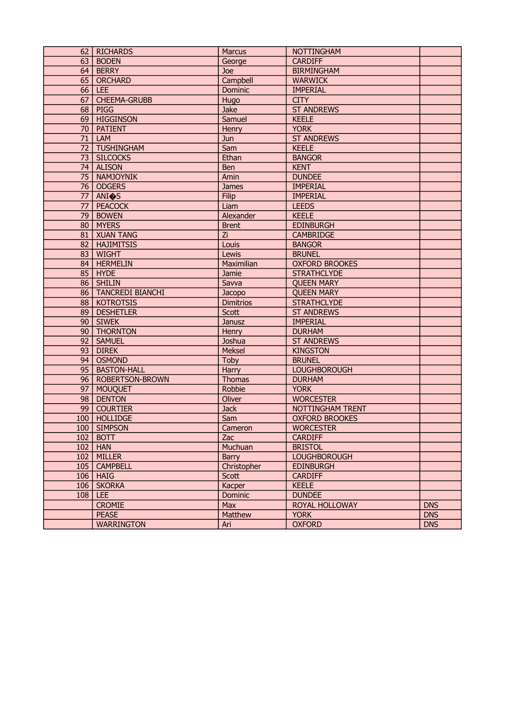|                 | 62   RICHARDS         | <b>Marcus</b>    | <b>NOTTINGHAM</b>     |            |
|-----------------|-----------------------|------------------|-----------------------|------------|
|                 | 63   BODEN            | George           | <b>CARDIFF</b>        |            |
| 64              | <b>BERRY</b>          | Joe              | <b>BIRMINGHAM</b>     |            |
| 65              | <b>ORCHARD</b>        | Campbell         | <b>WARWICK</b>        |            |
|                 | $66$ LEE              | Dominic          | <b>IMPERIAL</b>       |            |
| 67              | <b>CHEEMA-GRUBB</b>   | Hugo             | <b>CITY</b>           |            |
| 68              | <b>PIGG</b>           | Jake             | <b>ST ANDREWS</b>     |            |
| 69              | <b>HIGGINSON</b>      | Samuel           | <b>KEELE</b>          |            |
| 70              | <b>PATIENT</b>        | Henry            | <b>YORK</b>           |            |
| 71              | LAM                   | Jun              | <b>ST ANDREWS</b>     |            |
| 72              | TUSHINGHAM            | Sam              | <b>KEELE</b>          |            |
|                 | 73   SILCOCKS         | Ethan            | <b>BANGOR</b>         |            |
|                 | 74   ALISON           | Ben              | <b>KENT</b>           |            |
|                 | 75   NAMJOYNIK        | Amin             | <b>DUNDEE</b>         |            |
|                 | 76   ODGERS           | <b>James</b>     | <b>IMPERIAL</b>       |            |
|                 | 77   ANI $\bullet$ S  | <b>Filip</b>     | <b>IMPERIAL</b>       |            |
| 77              | <b>PEACOCK</b>        | Liam             | <b>LEEDS</b>          |            |
| 79              | <b>BOWEN</b>          | Alexander        | <b>KEELE</b>          |            |
| 80              | MYERS                 | <b>Brent</b>     | <b>EDINBURGH</b>      |            |
|                 | 81   XUAN TANG        | Zi               | <b>CAMBRIDGE</b>      |            |
| 82              | <b>HAJIMITSIS</b>     | Louis            | <b>BANGOR</b>         |            |
| 83              | <b>WIGHT</b>          | Lewis            | <b>BRUNEL</b>         |            |
|                 | 84   HERMELIN         | Maximilian       | <b>OXFORD BROOKES</b> |            |
| 85              | <b>HYDE</b>           | Jamie            | <b>STRATHCLYDE</b>    |            |
| 86              | <b>SHILIN</b>         | Savva            | <b>QUEEN MARY</b>     |            |
|                 | 86   TANCREDI BIANCHI | Jacopo           | <b>QUEEN MARY</b>     |            |
| 88              | <b>KOTROTSIS</b>      | <b>Dimitrios</b> | <b>STRATHCLYDE</b>    |            |
| 89 <sup>1</sup> | <b>DESHETLER</b>      | Scott            | <b>ST ANDREWS</b>     |            |
|                 | 90   SIWEK            | Janusz           | <b>IMPERIAL</b>       |            |
|                 | 90   THORNTON         | Henry            | <b>DURHAM</b>         |            |
| 92              | SAMUEL                | Joshua           | <b>ST ANDREWS</b>     |            |
| 93              | <b>DIREK</b>          | Meksel           | <b>KINGSTON</b>       |            |
| 94              | <b>OSMOND</b>         | Toby             | <b>BRUNEL</b>         |            |
| 95              | <b>BASTON-HALL</b>    | Harry            | <b>LOUGHBOROUGH</b>   |            |
| 96              | ROBERTSON-BROWN       | <b>Thomas</b>    | <b>DURHAM</b>         |            |
| 97              | <b>MOUQUET</b>        | Robbie           | <b>YORK</b>           |            |
| 98 <sup>1</sup> | <b>DENTON</b>         | Oliver           | <b>WORCESTER</b>      |            |
|                 | 99   COURTIER         | <b>Jack</b>      | NOTTINGHAM TRENT      |            |
|                 | 100   HOLLIDGE        | Sam              | <b>OXFORD BROOKES</b> |            |
|                 | 100 SIMPSON           | Cameron          | <b>WORCESTER</b>      |            |
| 102             | <b>BOTT</b>           | Zac              | <b>CARDIFF</b>        |            |
|                 | $102$   HAN           | Muchuan          | <b>BRISTOL</b>        |            |
| 102             | <b>MILLER</b>         | Barry            | <b>LOUGHBOROUGH</b>   |            |
|                 | 105   CAMPBELL        | Christopher      | <b>EDINBURGH</b>      |            |
|                 | $106$   HAIG          | Scott            | <b>CARDIFF</b>        |            |
| 106             | <b>SKORKA</b>         | Kacper           | <b>KEELE</b>          |            |
| 108             | <b>LEE</b>            | Dominic          | <b>DUNDEE</b>         |            |
|                 | <b>CROMIE</b>         | Max              | ROYAL HOLLOWAY        | <b>DNS</b> |
|                 | <b>PEASE</b>          | Matthew          | <b>YORK</b>           | <b>DNS</b> |
|                 | <b>WARRINGTON</b>     | Ari              | <b>OXFORD</b>         | <b>DNS</b> |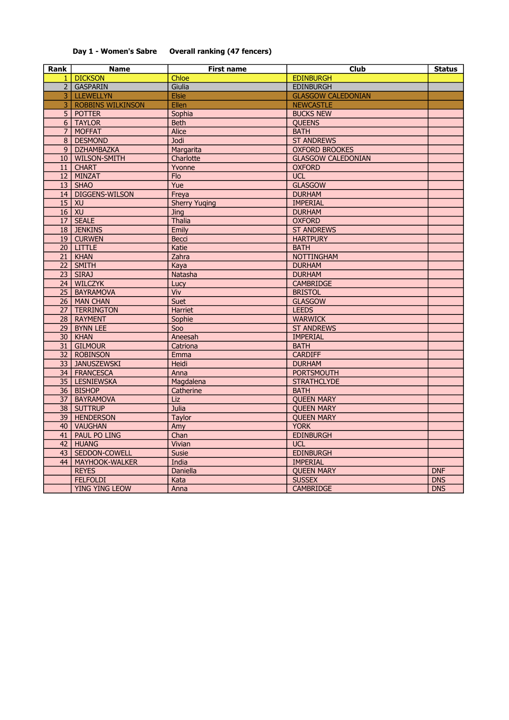#### Day 1 - Women's Sabre Overall ranking (47 fencers)

| Rank            | <b>Name</b>              | <b>First name</b>    | Club                      | <b>Status</b> |
|-----------------|--------------------------|----------------------|---------------------------|---------------|
|                 | 1 DICKSON                | Chloe                | <b>EDINBURGH</b>          |               |
|                 | 2 GASPARIN               | Giulia               | <b>EDINBURGH</b>          |               |
| 3 I             | <b>LLEWELLYN</b>         | <b>Elsie</b>         | <b>GLASGOW CALEDONIAN</b> |               |
| $\overline{3}$  | <b>ROBBINS WILKINSON</b> | Ellen                | <b>NEWCASTLE</b>          |               |
| $\overline{5}$  | <b>POTTER</b>            | Sophia               | <b>BUCKS NEW</b>          |               |
| 6 <sup>1</sup>  | <b>TAYLOR</b>            | <b>Beth</b>          | <b>QUEENS</b>             |               |
| 7 <sup>1</sup>  | <b>MOFFAT</b>            | <b>Alice</b>         | <b>BATH</b>               |               |
| 8 <sup>1</sup>  | <b>DESMOND</b>           | <b>Jodi</b>          | <b>ST ANDREWS</b>         |               |
| 9 <sup>°</sup>  | <b>DZHAMBAZKA</b>        | Margarita            | <b>OXFORD BROOKES</b>     |               |
| 10 <sup>1</sup> | <b>WILSON-SMITH</b>      | Charlotte            | <b>GLASGOW CALEDONIAN</b> |               |
| 11 <sup>1</sup> | <b>CHART</b>             | Yvonne               | <b>OXFORD</b>             |               |
| 12 <sup>1</sup> | <b>MINZAT</b>            | <b>Flo</b>           | <b>UCL</b>                |               |
| 13 <sup>1</sup> | <b>SHAO</b>              | Yue                  | <b>GLASGOW</b>            |               |
| 14              | <b>DIGGENS-WILSON</b>    | Freya                | <b>DURHAM</b>             |               |
| 15              | XU                       | <b>Sherry Yuging</b> | <b>IMPERIAL</b>           |               |
|                 | $16$ XU                  | Jing                 | <b>DURHAM</b>             |               |
|                 | 17   SEALE               | Thalia               | <b>OXFORD</b>             |               |
|                 | 18 JENKINS               | Emily                | <b>ST ANDREWS</b>         |               |
| 19              | <b>CURWEN</b>            | <b>Becci</b>         | <b>HARTPURY</b>           |               |
|                 | 20 LITTLE                | Katie                | <b>BATH</b>               |               |
| 21              | <b>KHAN</b>              | Zahra                | <b>NOTTINGHAM</b>         |               |
| 22              | <b>SMITH</b>             | Kaya                 | <b>DURHAM</b>             |               |
| 23              | <b>SIRAJ</b>             | Natasha              | <b>DURHAM</b>             |               |
| 24              | <b>WILCZYK</b>           | Lucy                 | <b>CAMBRIDGE</b>          |               |
| 25              | <b>BAYRAMOVA</b>         | Viv                  | <b>BRISTOL</b>            |               |
| 26              | <b>MAN CHAN</b>          | Suet                 | <b>GLASGOW</b>            |               |
| 27 <sup>1</sup> | <b>TERRINGTON</b>        | <b>Harriet</b>       | <b>LEEDS</b>              |               |
|                 | 28   RAYMENT             | Sophie               | <b>WARWICK</b>            |               |
| 29              | <b>BYNN LEE</b>          | Soo                  | <b>ST ANDREWS</b>         |               |
| 30 <sup>°</sup> | <b>KHAN</b>              | Aneesah              | <b>IMPERIAL</b>           |               |
| 31              | <b>GILMOUR</b>           | Catriona             | <b>BATH</b>               |               |
| 32              | <b>ROBINSON</b>          | Emma                 | <b>CARDIFF</b>            |               |
| 33 <sup>1</sup> | <b>JANUSZEWSKI</b>       | Heidi                | <b>DURHAM</b>             |               |
|                 | 34   FRANCESCA           | Anna                 | <b>PORTSMOUTH</b>         |               |
| 35              | <b>LESNIEWSKA</b>        | Magdalena            | <b>STRATHCLYDE</b>        |               |
|                 | 36   BISHOP              | Catherine            | <b>BATH</b>               |               |
| 37              | <b>BAYRAMOVA</b>         | <b>Liz</b>           | <b>QUEEN MARY</b>         |               |
| 38              | <b>SUTTRUP</b>           | Julia                | <b>QUEEN MARY</b>         |               |
| 39              | <b>HENDERSON</b>         | <b>Taylor</b>        | <b>QUEEN MARY</b>         |               |
| 40              | <b>VAUGHAN</b>           | Amy                  | <b>YORK</b>               |               |
| 41              | <b>PAUL PO LING</b>      | Chan                 | <b>EDINBURGH</b>          |               |
| 42              | <b>HUANG</b>             | Vivian               | <b>UCL</b>                |               |
| 43              | SEDDON-COWELL            | <b>Susie</b>         | <b>EDINBURGH</b>          |               |
| 44              | MAYHOOK-WALKER           | India                | <b>IMPERIAL</b>           |               |
|                 | <b>REYES</b>             | Daniella             | <b>QUEEN MARY</b>         | <b>DNF</b>    |
|                 | <b>FELFOLDI</b>          | Kata                 | <b>SUSSEX</b>             | <b>DNS</b>    |
|                 | <b>YING YING LEOW</b>    | Anna                 | <b>CAMBRIDGE</b>          | <b>DNS</b>    |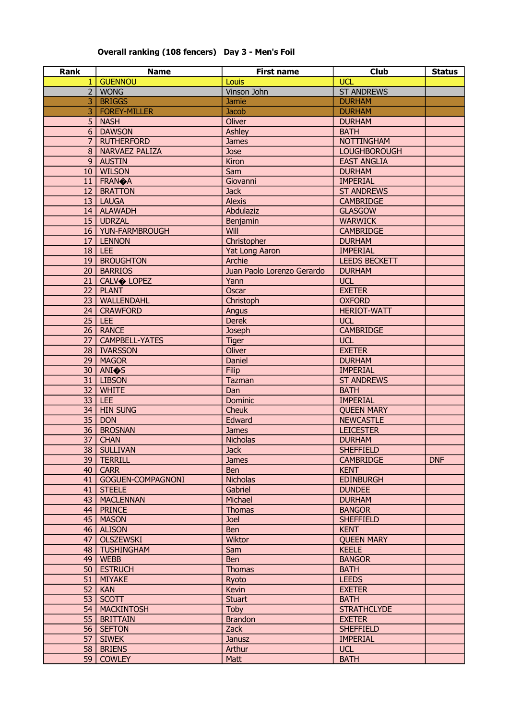## Overall ranking (108 fencers) Day 3 - Men's Foil

| <b>Rank</b>     | <b>Name</b>            | <b>First name</b>          | <b>Club</b>          | <b>Status</b> |
|-----------------|------------------------|----------------------------|----------------------|---------------|
| 1 <sup>1</sup>  | <b>GUENNOU</b>         | Louis                      | <b>UCL</b>           |               |
|                 | $2$   WONG             | Vinson John                | <b>ST ANDREWS</b>    |               |
| 3               | <b>BRIGGS</b>          | <b>Jamie</b>               | <b>DURHAM</b>        |               |
| 3               | FOREY-MILLER           | <b>Jacob</b>               | <b>DURHAM</b>        |               |
|                 | $5$   NASH             | Oliver                     | <b>DURHAM</b>        |               |
|                 | 6   DAWSON             | <b>Ashley</b>              | <b>BATH</b>          |               |
| 7 <sup>1</sup>  | <b>RUTHERFORD</b>      | <b>James</b>               | <b>NOTTINGHAM</b>    |               |
|                 | 8   NARVAEZ PALIZA     | Jose                       | <b>LOUGHBOROUGH</b>  |               |
|                 | 9   AUSTIN             | Kiron                      | <b>EAST ANGLIA</b>   |               |
|                 | 10   WILSON            | Sam                        | <b>DURHAM</b>        |               |
|                 | 11   FRAN $\bigcirc$ A | Giovanni                   | <b>IMPERIAL</b>      |               |
|                 | 12   BRATTON           | <b>Jack</b>                | <b>ST ANDREWS</b>    |               |
|                 | $13$   LAUGA           | <b>Alexis</b>              | <b>CAMBRIDGE</b>     |               |
|                 | 14   ALAWADH           | Abdulaziz                  | <b>GLASGOW</b>       |               |
|                 | 15 UDRZAL              | Benjamin                   | <b>WARWICK</b>       |               |
|                 | 16   YUN-FARMBROUGH    | Will                       | <b>CAMBRIDGE</b>     |               |
|                 | 17   LENNON            | Christopher                | <b>DURHAM</b>        |               |
|                 | $18$ LEE               | <b>Yat Long Aaron</b>      | <b>IMPERIAL</b>      |               |
|                 | 19   BROUGHTON         | Archie                     | <b>LEEDS BECKETT</b> |               |
|                 | 20   BARRIOS           | Juan Paolo Lorenzo Gerardo | <b>DURHAM</b>        |               |
|                 | 21 CALVO LOPEZ         | Yann                       | <b>UCL</b>           |               |
|                 | $\overline{22}$ PLANT  | Oscar                      | <b>EXETER</b>        |               |
|                 | 23   WALLENDAHL        | Christoph                  | <b>OXFORD</b>        |               |
|                 | 24   CRAWFORD          | Angus                      | <b>HERIOT-WATT</b>   |               |
|                 | $25$ LEE               | <b>Derek</b>               | <b>UCL</b>           |               |
|                 | 26   RANCE             | <b>Joseph</b>              | <b>CAMBRIDGE</b>     |               |
|                 | 27   CAMPBELL-YATES    | <b>Tiger</b>               | <b>UCL</b>           |               |
|                 | 28   IVARSSON          | Oliver                     | <b>EXETER</b>        |               |
|                 | 29   MAGOR             | Daniel                     | <b>DURHAM</b>        |               |
|                 | 30   ANI $\circ$ S     | <b>Filip</b>               | <b>IMPERIAL</b>      |               |
|                 | 31   LIBSON            | Tazman                     | <b>ST ANDREWS</b>    |               |
| 32              | <b>WHITE</b>           | Dan                        | <b>BATH</b>          |               |
|                 | $33$ LEE               | Dominic                    | <b>IMPERIAL</b>      |               |
| 34              | <b>HIN SUNG</b>        | <b>Cheuk</b>               | <b>QUEEN MARY</b>    |               |
| $\overline{35}$ | <b>DON</b>             | Edward                     | <b>NEWCASTLE</b>     |               |
| 36              | <b>BROSNAN</b>         | <b>James</b>               | <b>LEICESTER</b>     |               |
| 37              | <b>CHAN</b>            | <b>Nicholas</b>            | <b>DURHAM</b>        |               |
|                 | 38 SULLIVAN            | <b>Jack</b>                | <b>SHEFFIELD</b>     |               |
|                 | 39   TERRILL           | <b>James</b>               | <b>CAMBRIDGE</b>     | <b>DNF</b>    |
|                 | $40$ CARR              | Ben                        | <b>KENT</b>          |               |
|                 | 41   GOGUEN-COMPAGNONI | <b>Nicholas</b>            | <b>EDINBURGH</b>     |               |
|                 | 41   STEELE            | Gabriel                    | <b>DUNDEE</b>        |               |
|                 | 43   MACLENNAN         | Michael                    | <b>DURHAM</b>        |               |
|                 | 44   PRINCE            | <b>Thomas</b>              | <b>BANGOR</b>        |               |
|                 | 45   MASON             | <b>Joel</b>                | <b>SHEFFIELD</b>     |               |
|                 | 46   ALISON            | <b>Ben</b>                 | <b>KENT</b>          |               |
|                 | 47   OLSZEWSKI         | <b>Wiktor</b>              | <b>QUEEN MARY</b>    |               |
|                 | 48   TUSHINGHAM        | Sam                        | <b>KEELE</b>         |               |
|                 | $49$   WEBB            | <b>Ben</b>                 | <b>BANGOR</b>        |               |
|                 | 50   ESTRUCH           | <b>Thomas</b>              | <b>BATH</b>          |               |
|                 | 51   MIYAKE            | Ryoto                      | <b>LEEDS</b>         |               |
| 52              | <b>KAN</b>             | Kevin                      | <b>EXETER</b>        |               |
|                 | $53$ SCOTT             | <b>Stuart</b>              | <b>BATH</b>          |               |
|                 | 54   MACKINTOSH        | Toby                       | <b>STRATHCLYDE</b>   |               |
|                 | 55   BRITTAIN          | <b>Brandon</b>             | <b>EXETER</b>        |               |
|                 | 56   SEFTON            | Zack                       | <b>SHEFFIELD</b>     |               |
|                 | $57$ SIWEK             | Janusz                     | <b>IMPERIAL</b>      |               |
|                 | 58   BRIENS            | Arthur                     | <b>UCL</b>           |               |
|                 | 59 COWLEY              | Matt                       | <b>BATH</b>          |               |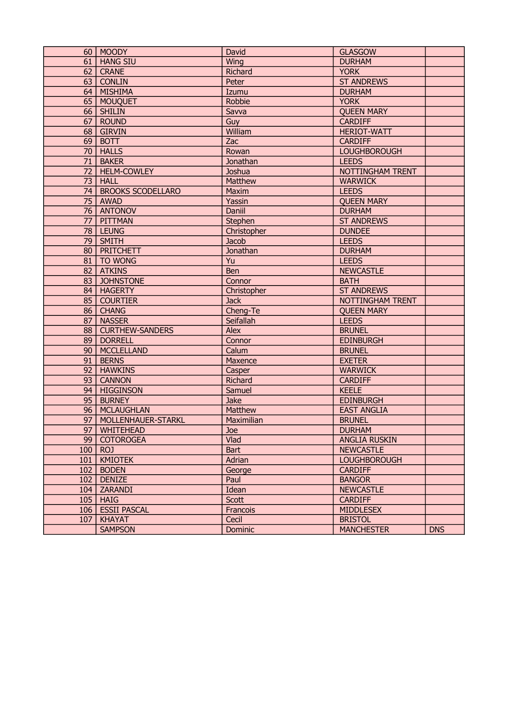|     | 60   MOODY              | David          | <b>GLASGOW</b>       |            |
|-----|-------------------------|----------------|----------------------|------------|
|     | 61   HANG SIU           | Wing           | <b>DURHAM</b>        |            |
|     |                         |                |                      |            |
|     | 62   CRANE              | <b>Richard</b> | <b>YORK</b>          |            |
|     | 63   CONLIN             | Peter          | <b>ST ANDREWS</b>    |            |
|     | 64   MISHIMA            | Izumu          | <b>DURHAM</b>        |            |
|     | 65 MOUQUET              | Robbie         | <b>YORK</b>          |            |
|     | 66   SHILIN             | Savva          | <b>QUEEN MARY</b>    |            |
| 67  | <b>ROUND</b>            | Guy            | <b>CARDIFF</b>       |            |
|     | 68   GIRVIN             | William        | <b>HERIOT-WATT</b>   |            |
|     | 69 BOTT                 | Zac            | <b>CARDIFF</b>       |            |
|     | 70   HALLS              | Rowan          | <b>LOUGHBOROUGH</b>  |            |
| 71  | <b>BAKER</b>            | Jonathan       | <b>LEEDS</b>         |            |
| 72  | <b>HELM-COWLEY</b>      | Joshua         | NOTTINGHAM TRENT     |            |
| 73  | <b>HALL</b>             | Matthew        | <b>WARWICK</b>       |            |
|     | 74   BROOKS SCODELLARO  | <b>Maxim</b>   | <b>LEEDS</b>         |            |
|     | 75   AWAD               | Yassin         | <b>QUEEN MARY</b>    |            |
| 76  | ANTONOV                 | Daniil         | <b>DURHAM</b>        |            |
|     | 77   PITTMAN            | Stephen        | <b>ST ANDREWS</b>    |            |
|     | $\overline{78}$ LEUNG   | Christopher    | <b>DUNDEE</b>        |            |
|     | $\overline{79}$ SMITH   | <b>Jacob</b>   | <b>LEEDS</b>         |            |
|     | 80   PRITCHETT          | Jonathan       | <b>DURHAM</b>        |            |
|     | 81   TO WONG            | Yu             | <b>LEEDS</b>         |            |
|     | 82   ATKINS             | <b>Ben</b>     | <b>NEWCASTLE</b>     |            |
|     | 83 JOHNSTONE            | Connor         | <b>BATH</b>          |            |
|     | 84   HAGERTY            | Christopher    | <b>ST ANDREWS</b>    |            |
|     | 85 COURTIER             | <b>Jack</b>    | NOTTINGHAM TRENT     |            |
|     | 86   CHANG              | Cheng-Te       | <b>QUEEN MARY</b>    |            |
|     | 87   NASSER             | Seifallah      | <b>LEEDS</b>         |            |
|     | 88   CURTHEW-SANDERS    | <b>Alex</b>    | <b>BRUNEL</b>        |            |
| 89  | <b>DORRELL</b>          | Connor         | <b>EDINBURGH</b>     |            |
| 90  | <b>MCCLELLAND</b>       | Calum          | <b>BRUNEL</b>        |            |
| 91  | <b>BERNS</b>            | Maxence        | <b>EXETER</b>        |            |
| 92  | <b>HAWKINS</b>          | Casper         | <b>WARWICK</b>       |            |
| 93  | <b>CANNON</b>           | <b>Richard</b> | <b>CARDIFF</b>       |            |
| 94  | <b>HIGGINSON</b>        | Samuel         | <b>KEELE</b>         |            |
|     | 95 BURNEY               | Jake           | <b>EDINBURGH</b>     |            |
|     | 96   MCLAUGHLAN         | Matthew        | <b>EAST ANGLIA</b>   |            |
|     | 97   MOLLENHAUER-STARKL | Maximilian     | <b>BRUNEL</b>        |            |
|     | 97   WHITEHEAD          | Joe            | <b>DURHAM</b>        |            |
|     | 99 COTOROGEA            | Vlad           | <b>ANGLIA RUSKIN</b> |            |
|     | $100$ ROJ               | <b>Bart</b>    | <b>NEWCASTLE</b>     |            |
| 101 | <b>KMIOTEK</b>          | Adrian         | <b>LOUGHBOROUGH</b>  |            |
|     | $102$ BODEN             | George         | <b>CARDIFF</b>       |            |
|     | $102$ DENIZE            | Paul           | <b>BANGOR</b>        |            |
|     | 104   ZARANDI           | Idean          | <b>NEWCASTLE</b>     |            |
|     | $105$   HAIG            | Scott          | <b>CARDIFF</b>       |            |
|     | 106   ESSII PASCAL      | Francois       | <b>MIDDLESEX</b>     |            |
| 107 | <b>KHAYAT</b>           | Cecil          | <b>BRISTOL</b>       |            |
|     | <b>SAMPSON</b>          | Dominic        | <b>MANCHESTER</b>    | <b>DNS</b> |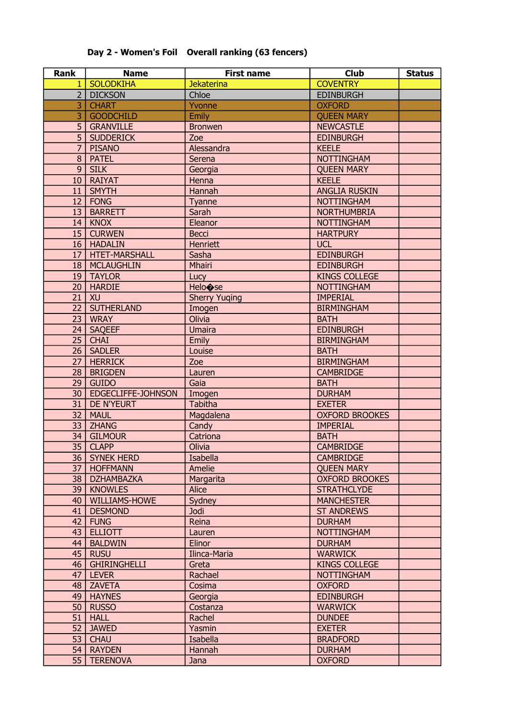| <b>Rank</b>    | <b>Name</b>        | <b>First name</b>    | <b>Club</b>           | <b>Status</b> |
|----------------|--------------------|----------------------|-----------------------|---------------|
| $\mathbf{1}$   | <b>SOLODKIHA</b>   | <b>Jekaterina</b>    | <b>COVENTRY</b>       |               |
| 2 <sup>1</sup> | <b>DICKSON</b>     | Chloe                | <b>EDINBURGH</b>      |               |
| $\overline{3}$ | <b>CHART</b>       | Yvonne               | <b>OXFORD</b>         |               |
| $\overline{3}$ | <b>GOODCHILD</b>   | Emily                | <b>QUEEN MARY</b>     |               |
| 5              | <b>GRANVILLE</b>   | <b>Bronwen</b>       | <b>NEWCASTLE</b>      |               |
| 5              | <b>SUDDERICK</b>   | Zoe                  | <b>EDINBURGH</b>      |               |
| $\overline{7}$ | <b>PISANO</b>      | Alessandra           | <b>KEELE</b>          |               |
| 8              | <b>PATEL</b>       | Serena               | <b>NOTTINGHAM</b>     |               |
| 9 <sup>°</sup> | <b>SILK</b>        | Georgia              | <b>OUEEN MARY</b>     |               |
| 10             | <b>RAIYAT</b>      | Henna                | <b>KEELE</b>          |               |
| 11             | <b>SMYTH</b>       | Hannah               | <b>ANGLIA RUSKIN</b>  |               |
| 12             | FONG               | Tyanne               | <b>NOTTINGHAM</b>     |               |
| 13             | <b>BARRETT</b>     | Sarah                | <b>NORTHUMBRIA</b>    |               |
| 14             | KNOX               | Eleanor              | <b>NOTTINGHAM</b>     |               |
|                | 15   CURWEN        | <b>Becci</b>         | <b>HARTPURY</b>       |               |
|                | 16   HADALIN       | Henriett             | <b>UCL</b>            |               |
|                | 17   HTET-MARSHALL | Sasha                | <b>EDINBURGH</b>      |               |
|                | 18   MCLAUGHLIN    | Mhairi               | <b>EDINBURGH</b>      |               |
|                | 19   TAYLOR        | Lucy                 | <b>KINGS COLLEGE</b>  |               |
|                | 20   HARDIE        | Helo $\bigcirc$ se   | <b>NOTTINGHAM</b>     |               |
| 21             | XU                 | <b>Sherry Yuqing</b> | <b>IMPERIAL</b>       |               |
|                | 22   SUTHERLAND    | Imogen               | <b>BIRMINGHAM</b>     |               |
|                | 23   WRAY          | Olivia               | <b>BATH</b>           |               |
|                | 24   SAQEEF        | <b>Umaira</b>        | <b>EDINBURGH</b>      |               |
|                | $25$ CHAI          | Emily                | <b>BIRMINGHAM</b>     |               |
|                | 26   SADLER        | Louise               | <b>BATH</b>           |               |
|                | 27   HERRICK       | Zoe                  | <b>BIRMINGHAM</b>     |               |
| 28             | <b>BRIGDEN</b>     | Lauren               | <b>CAMBRIDGE</b>      |               |
|                | $29$ GUIDO         | Gaia                 | <b>BATH</b>           |               |
| 30             | EDGECLIFFE-JOHNSON | Imogen               | <b>DURHAM</b>         |               |
|                | 31 DE N'YEURT      | Tabitha              | <b>EXETER</b>         |               |
|                | 32   MAUL          | Magdalena            | <b>OXFORD BROOKES</b> |               |
|                | 33 ZHANG           | Candy                | <b>IMPERIAL</b>       |               |
|                | 34   GILMOUR       | Catriona             | <b>BATH</b>           |               |
|                | 35 CLAPP           | Olivia               | <b>CAMBRIDGE</b>      |               |
|                | 36   SYNEK HERD    | Isabella             | <b>CAMBRIDGE</b>      |               |
| 37             | <b>HOFFMANN</b>    | Amelie               | <b>QUEEN MARY</b>     |               |
|                | 38   DZHAMBAZKA    | Margarita            | <b>OXFORD BROOKES</b> |               |
|                | 39   KNOWLES       | Alice                | <b>STRATHCLYDE</b>    |               |
|                | 40   WILLIAMS-HOWE | Sydney               | <b>MANCHESTER</b>     |               |
| 41             | <b>DESMOND</b>     | <b>Jodi</b>          | <b>ST ANDREWS</b>     |               |
| 42             | <b>FUNG</b>        | Reina                | <b>DURHAM</b>         |               |
| 43             | <b>ELLIOTT</b>     | Lauren               | <b>NOTTINGHAM</b>     |               |
| 44             | <b>BALDWIN</b>     | Elinor               | <b>DURHAM</b>         |               |
| 45             | <b>RUSU</b>        | Ilinca-Maria         | <b>WARWICK</b>        |               |
|                | 46   GHIRINGHELLI  | Greta                | <b>KINGS COLLEGE</b>  |               |
|                | $47$ LEVER         | Rachael              | <b>NOTTINGHAM</b>     |               |
|                | 48 ZAVETA          | Cosima               | <b>OXFORD</b>         |               |
|                | 49   HAYNES        | Georgia              | <b>EDINBURGH</b>      |               |
|                | 50   RUSSO         | Costanza             | <b>WARWICK</b>        |               |
| 51             | <b>HALL</b>        | Rachel               | <b>DUNDEE</b>         |               |
|                | 52 JAWED           | Yasmin               | <b>EXETER</b>         |               |
|                | 53   CHAU          | Isabella             | <b>BRADFORD</b>       |               |
|                | 54   RAYDEN        | Hannah               | <b>DURHAM</b>         |               |
|                | 55   TERENOVA      | Jana                 | <b>OXFORD</b>         |               |

## Day 2 - Women's Foil Overall ranking (63 fencers)